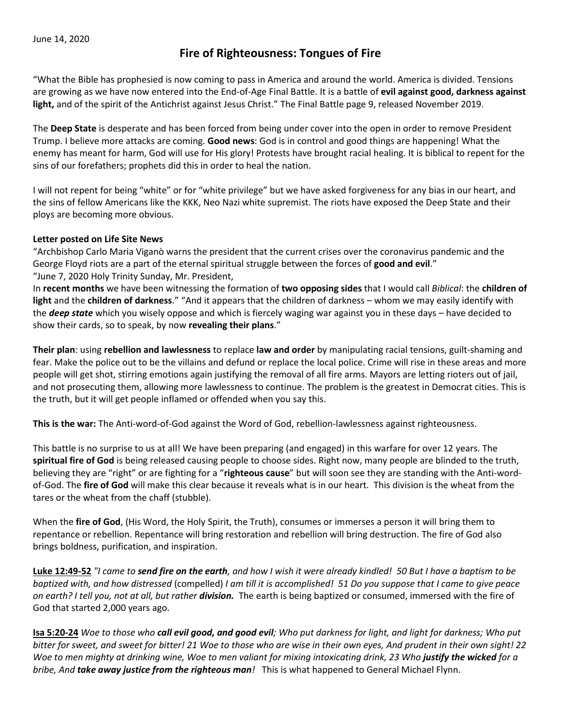# **Fire of Righteousness: Tongues of Fire**

"What the Bible has prophesied is now coming to pass in America and around the world. America is divided. Tensions are growing as we have now entered into the End-of-Age Final Battle. It is a battle of **evil against good, darkness against light,** and of the spirit of the Antichrist against Jesus Christ." The Final Battle page 9, released November 2019.

The **Deep State** is desperate and has been forced from being under cover into the open in order to remove President Trump. I believe more attacks are coming. **Good news**: God is in control and good things are happening! What the enemy has meant for harm, God will use for His glory! Protests have brought racial healing. It is biblical to repent for the sins of our forefathers; prophets did this in order to heal the nation.

I will not repent for being "white" or for "white privilege" but we have asked forgiveness for any bias in our heart, and the sins of fellow Americans like the KKK, Neo Nazi white supremist. The riots have exposed the Deep State and their ploys are becoming more obvious.

#### **Letter posted on Life Site News**

"Archbishop Carlo Maria Viganò warns the president that the current crises over the coronavirus pandemic and the George Floyd riots are a part of the eternal spiritual struggle between the forces of **good and evil**." "June 7, 2020 Holy Trinity Sunday, Mr. President,

In **recent months** we have been witnessing the formation of **two opposing sides** that I would call *Biblical*: the **children of light** and the **children of darkness**." "And it appears that the children of darkness – whom we may easily identify with the *deep state* which you wisely oppose and which is fiercely waging war against you in these days – have decided to show their cards, so to speak, by now **revealing their plans**."

**Their plan**: using **rebellion and lawlessness** to replace **law and order** by manipulating racial tensions, guilt-shaming and fear. Make the police out to be the villains and defund or replace the local police. Crime will rise in these areas and more people will get shot, stirring emotions again justifying the removal of all fire arms. Mayors are letting rioters out of jail, and not prosecuting them, allowing more lawlessness to continue. The problem is the greatest in Democrat cities. This is the truth, but it will get people inflamed or offended when you say this.

**This is the war:** The Anti-word-of-God against the Word of God, rebellion-lawlessness against righteousness.

This battle is no surprise to us at all! We have been preparing (and engaged) in this warfare for over 12 years. The **spiritual fire of God** is being released causing people to choose sides. Right now, many people are blinded to the truth, believing they are "right" or are fighting for a "**righteous cause**" but will soon see they are standing with the Anti-wordof-God. The **fire of God** will make this clear because it reveals what is in our heart. This division is the wheat from the tares or the wheat from the chaff (stubble).

When the **fire of God**, (His Word, the Holy Spirit, the Truth), consumes or immerses a person it will bring them to repentance or rebellion. Repentance will bring restoration and rebellion will bring destruction. The fire of God also brings boldness, purification, and inspiration.

**Luke 12:49-52** *"I came to send fire on the earth, and how I wish it were already kindled! 50 But I have a baptism to be baptized with, and how distressed* (compelled) *I am till it is accomplished! 51 Do you suppose that I came to give peace on earth? I tell you, not at all, but rather division.* The earth is being baptized or consumed, immersed with the fire of God that started 2,000 years ago.

**Isa 5:20-24** *Woe to those who call evil good, and good evil; Who put darkness for light, and light for darkness; Who put bitter for sweet, and sweet for bitter! 21 Woe to those who are wise in their own eyes, And prudent in their own sight! 22 Woe to men mighty at drinking wine, Woe to men valiant for mixing intoxicating drink, 23 Who justify the wicked for a bribe, And take away justice from the righteous man!* This is what happened to General Michael Flynn.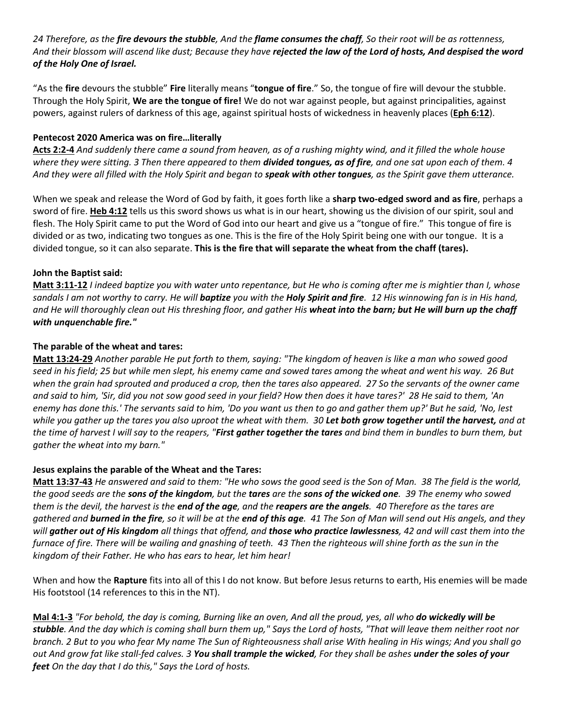*24 Therefore, as the fire devours the stubble, And the flame consumes the chaff, So their root will be as rottenness, And their blossom will ascend like dust; Because they have rejected the law of the Lord of hosts, And despised the word of the Holy One of Israel.* 

"As the **fire** devours the stubble" **Fire** literally means "**tongue of fire**." So, the tongue of fire will devour the stubble. Through the Holy Spirit, **We are the tongue of fire!** We do not war against people, but against principalities, against powers, against rulers of darkness of this age, against spiritual hosts of wickedness in heavenly places (**Eph 6:12**).

## **Pentecost 2020 America was on fire…literally**

**Acts 2:2-4** *And suddenly there came a sound from heaven, as of a rushing mighty wind, and it filled the whole house where they were sitting. 3 Then there appeared to them divided tongues, as of fire, and one sat upon each of them. 4 And they were all filled with the Holy Spirit and began to speak with other tongues, as the Spirit gave them utterance.* 

When we speak and release the Word of God by faith, it goes forth like a **sharp two-edged sword and as fire**, perhaps a sword of fire. **Heb 4:12** tells us this sword shows us what is in our heart, showing us the division of our spirit, soul and flesh. The Holy Spirit came to put the Word of God into our heart and give us a "tongue of fire." This tongue of fire is divided or as two, indicating two tongues as one. This is the fire of the Holy Spirit being one with our tongue. It is a divided tongue, so it can also separate. **This is the fire that will separate the wheat from the chaff (tares).**

### **John the Baptist said:**

**Matt 3:11-12** *I indeed baptize you with water unto repentance, but He who is coming after me is mightier than I, whose sandals I am not worthy to carry. He will baptize you with the Holy Spirit and fire. 12 His winnowing fan is in His hand, and He will thoroughly clean out His threshing floor, and gather His wheat into the barn; but He will burn up the chaff with unquenchable fire."* 

### **The parable of the wheat and tares:**

**Matt 13:24-29** *Another parable He put forth to them, saying: "The kingdom of heaven is like a man who sowed good seed in his field; 25 but while men slept, his enemy came and sowed tares among the wheat and went his way. 26 But*  when the grain had sprouted and produced a crop, then the tares also appeared. 27 So the servants of the owner came *and said to him, 'Sir, did you not sow good seed in your field? How then does it have tares?' 28 He said to them, 'An enemy has done this.' The servants said to him, 'Do you want us then to go and gather them up?' But he said, 'No, lest*  while you gather up the tares you also uproot the wheat with them. 30 Let both grow together until the harvest, and at *the time of harvest I will say to the reapers, "First gather together the tares and bind them in bundles to burn them, but gather the wheat into my barn."*

#### **Jesus explains the parable of the Wheat and the Tares:**

**Matt 13:37-43** *He answered and said to them: "He who sows the good seed is the Son of Man. 38 The field is the world, the good seeds are the sons of the kingdom, but the tares are the sons of the wicked one. 39 The enemy who sowed them is the devil, the harvest is the end of the age, and the reapers are the angels. 40 Therefore as the tares are gathered and burned in the fire, so it will be at the end of this age. 41 The Son of Man will send out His angels, and they will gather out of His kingdom all things that offend, and those who practice lawlessness, 42 and will cast them into the furnace of fire. There will be wailing and gnashing of teeth. 43 Then the righteous will shine forth as the sun in the kingdom of their Father. He who has ears to hear, let him hear!* 

When and how the **Rapture** fits into all of this I do not know. But before Jesus returns to earth, His enemies will be made His footstool (14 references to this in the NT).

**Mal 4:1-3** *"For behold, the day is coming, Burning like an oven, And all the proud, yes, all who do wickedly will be stubble. And the day which is coming shall burn them up," Says the Lord of hosts, "That will leave them neither root nor branch. 2 But to you who fear My name The Sun of Righteousness shall arise With healing in His wings; And you shall go out And grow fat like stall-fed calves. 3 You shall trample the wicked, For they shall be ashes under the soles of your feet On the day that I do this," Says the Lord of hosts.*